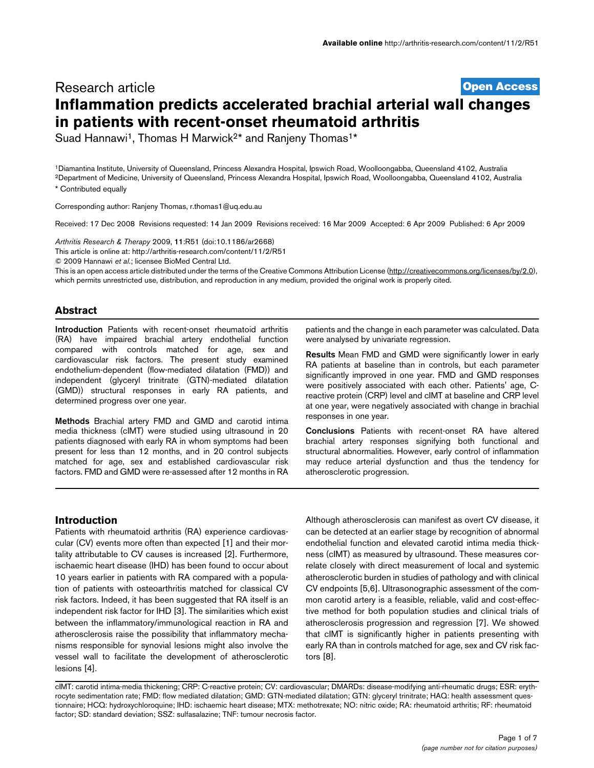# **[Open Access](http://www.biomedcentral.com/info/about/charter/)** Research article **Inflammation predicts accelerated brachial arterial wall changes in patients with recent-onset rheumatoid arthritis**

Suad Hannawi<sup>1</sup>, Thomas H Marwick<sup>2\*</sup> and Ranjeny Thomas<sup>1\*</sup>

1Diamantina Institute, University of Queensland, Princess Alexandra Hospital, Ipswich Road, Woolloongabba, Queensland 4102, Australia 2Department of Medicine, University of Queensland, Princess Alexandra Hospital, Ipswich Road, Woolloongabba, Queensland 4102, Australia \* Contributed equally

Corresponding author: Ranjeny Thomas, r.thomas1@uq.edu.au

Received: 17 Dec 2008 Revisions requested: 14 Jan 2009 Revisions received: 16 Mar 2009 Accepted: 6 Apr 2009 Published: 6 Apr 2009

*Arthritis Research & Therapy* 2009, **11**:R51 (doi:10.1186/ar2668)

[This article is online at: http://arthritis-research.com/content/11/2/R51](http://arthritis-research.com/content/11/2/R51)

© 2009 Hannawi *et al*.; licensee BioMed Central Ltd.

This is an open access article distributed under the terms of the Creative Commons Attribution License [\(http://creativecommons.org/licenses/by/2.0\)](http://creativecommons.org/licenses/by/2.0), which permits unrestricted use, distribution, and reproduction in any medium, provided the original work is properly cited.

### **Abstract**

**Introduction** Patients with recent-onset rheumatoid arthritis (RA) have impaired brachial artery endothelial function compared with controls matched for age, sex and cardiovascular risk factors. The present study examined endothelium-dependent (flow-mediated dilatation (FMD)) and independent (glyceryl trinitrate (GTN)-mediated dilatation (GMD)) structural responses in early RA patients, and determined progress over one year.

**Methods** Brachial artery FMD and GMD and carotid intima media thickness (cIMT) were studied using ultrasound in 20 patients diagnosed with early RA in whom symptoms had been present for less than 12 months, and in 20 control subjects matched for age, sex and established cardiovascular risk factors. FMD and GMD were re-assessed after 12 months in RA

patients and the change in each parameter was calculated. Data were analysed by univariate regression.

**Results** Mean FMD and GMD were significantly lower in early RA patients at baseline than in controls, but each parameter significantly improved in one year. FMD and GMD responses were positively associated with each other. Patients' age, Creactive protein (CRP) level and cIMT at baseline and CRP level at one year, were negatively associated with change in brachial responses in one year.

**Conclusions** Patients with recent-onset RA have altered brachial artery responses signifying both functional and structural abnormalities. However, early control of inflammation may reduce arterial dysfunction and thus the tendency for atherosclerotic progression.

### **Introduction**

Patients with rheumatoid arthritis (RA) experience cardiovascular (CV) events more often than expected [1] and their mortality attributable to CV causes is increased [2]. Furthermore, ischaemic heart disease (IHD) has been found to occur about 10 years earlier in patients with RA compared with a population of patients with osteoarthritis matched for classical CV risk factors. Indeed, it has been suggested that RA itself is an independent risk factor for IHD [3]. The similarities which exist between the inflammatory/immunological reaction in RA and atherosclerosis raise the possibility that inflammatory mechanisms responsible for synovial lesions might also involve the vessel wall to facilitate the development of atherosclerotic lesions [4].

Although atherosclerosis can manifest as overt CV disease, it can be detected at an earlier stage by recognition of abnormal endothelial function and elevated carotid intima media thickness (cIMT) as measured by ultrasound. These measures correlate closely with direct measurement of local and systemic atherosclerotic burden in studies of pathology and with clinical CV endpoints [5,6]. Ultrasonographic assessment of the common carotid artery is a feasible, reliable, valid and cost-effective method for both population studies and clinical trials of atherosclerosis progression and regression [7]. We showed that cIMT is significantly higher in patients presenting with early RA than in controls matched for age, sex and CV risk factors [8].

cIMT: carotid intima-media thickening; CRP: C-reactive protein; CV: cardiovascular; DMARDs: disease-modifying anti-rheumatic drugs; ESR: erythrocyte sedimentation rate; FMD: flow mediated dilatation; GMD: GTN-mediated dilatation; GTN: glyceryl trinitrate; HAQ: health assessment questionnaire; HCQ: hydroxychloroquine; IHD: ischaemic heart disease; MTX: methotrexate; NO: nitric oxide; RA: rheumatoid arthritis; RF: rheumatoid factor; SD: standard deviation; SSZ: sulfasalazine; TNF: tumour necrosis factor.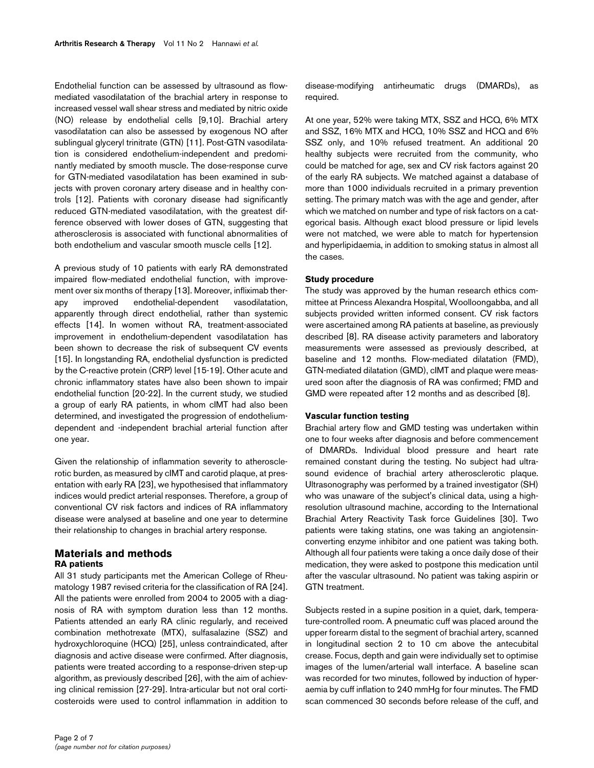Endothelial function can be assessed by ultrasound as flowmediated vasodilatation of the brachial artery in response to increased vessel wall shear stress and mediated by nitric oxide (NO) release by endothelial cells [9,10]. Brachial artery vasodilatation can also be assessed by exogenous NO after sublingual glyceryl trinitrate (GTN) [11]. Post-GTN vasodilatation is considered endothelium-independent and predominantly mediated by smooth muscle. The dose-response curve for GTN-mediated vasodilatation has been examined in subjects with proven coronary artery disease and in healthy controls [12]. Patients with coronary disease had significantly reduced GTN-mediated vasodilatation, with the greatest difference observed with lower doses of GTN, suggesting that atherosclerosis is associated with functional abnormalities of both endothelium and vascular smooth muscle cells [12].

A previous study of 10 patients with early RA demonstrated impaired flow-mediated endothelial function, with improvement over six months of therapy [13]. Moreover, infliximab therapy improved endothelial-dependent vasodilatation, apparently through direct endothelial, rather than systemic effects [14]. In women without RA, treatment-associated improvement in endothelium-dependent vasodilatation has been shown to decrease the risk of subsequent CV events [15]. In longstanding RA, endothelial dysfunction is predicted by the C-reactive protein (CRP) level [15-19]. Other acute and chronic inflammatory states have also been shown to impair endothelial function [20-22]. In the current study, we studied a group of early RA patients, in whom cIMT had also been determined, and investigated the progression of endotheliumdependent and -independent brachial arterial function after one year.

Given the relationship of inflammation severity to atherosclerotic burden, as measured by cIMT and carotid plaque, at presentation with early RA [23], we hypothesised that inflammatory indices would predict arterial responses. Therefore, a group of conventional CV risk factors and indices of RA inflammatory disease were analysed at baseline and one year to determine their relationship to changes in brachial artery response.

### **Materials and methods RA patients**

All 31 study participants met the American College of Rheumatology 1987 revised criteria for the classification of RA [24]. All the patients were enrolled from 2004 to 2005 with a diagnosis of RA with symptom duration less than 12 months. Patients attended an early RA clinic regularly, and received combination methotrexate (MTX), sulfasalazine (SSZ) and hydroxychloroquine (HCQ) [25], unless contraindicated, after diagnosis and active disease were confirmed. After diagnosis, patients were treated according to a response-driven step-up algorithm, as previously described [26], with the aim of achieving clinical remission [27-29]. Intra-articular but not oral corticosteroids were used to control inflammation in addition to

disease-modifying antirheumatic drugs (DMARDs), as required.

At one year, 52% were taking MTX, SSZ and HCQ, 6% MTX and SSZ, 16% MTX and HCQ, 10% SSZ and HCQ and 6% SSZ only, and 10% refused treatment. An additional 20 healthy subjects were recruited from the community, who could be matched for age, sex and CV risk factors against 20 of the early RA subjects. We matched against a database of more than 1000 individuals recruited in a primary prevention setting. The primary match was with the age and gender, after which we matched on number and type of risk factors on a categorical basis. Although exact blood pressure or lipid levels were not matched, we were able to match for hypertension and hyperlipidaemia, in addition to smoking status in almost all the cases.

### **Study procedure**

The study was approved by the human research ethics committee at Princess Alexandra Hospital, Woolloongabba, and all subjects provided written informed consent. CV risk factors were ascertained among RA patients at baseline, as previously described [8]. RA disease activity parameters and laboratory measurements were assessed as previously described, at baseline and 12 months. Flow-mediated dilatation (FMD), GTN-mediated dilatation (GMD), cIMT and plaque were measured soon after the diagnosis of RA was confirmed; FMD and GMD were repeated after 12 months and as described [8].

#### **Vascular function testing**

Brachial artery flow and GMD testing was undertaken within one to four weeks after diagnosis and before commencement of DMARDs. Individual blood pressure and heart rate remained constant during the testing. No subject had ultrasound evidence of brachial artery atherosclerotic plaque. Ultrasonography was performed by a trained investigator (SH) who was unaware of the subject's clinical data, using a highresolution ultrasound machine, according to the International Brachial Artery Reactivity Task force Guidelines [30]. Two patients were taking statins, one was taking an angiotensinconverting enzyme inhibitor and one patient was taking both. Although all four patients were taking a once daily dose of their medication, they were asked to postpone this medication until after the vascular ultrasound. No patient was taking aspirin or GTN treatment.

Subjects rested in a supine position in a quiet, dark, temperature-controlled room. A pneumatic cuff was placed around the upper forearm distal to the segment of brachial artery, scanned in longitudinal section 2 to 10 cm above the antecubital crease. Focus, depth and gain were individually set to optimise images of the lumen/arterial wall interface. A baseline scan was recorded for two minutes, followed by induction of hyperaemia by cuff inflation to 240 mmHg for four minutes. The FMD scan commenced 30 seconds before release of the cuff, and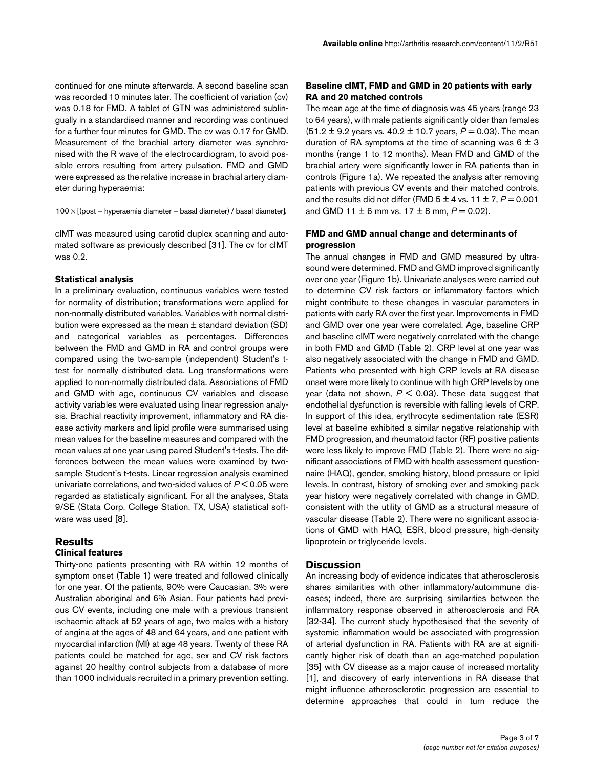continued for one minute afterwards. A second baseline scan was recorded 10 minutes later. The coefficient of variation (cv) was 0.18 for FMD. A tablet of GTN was administered sublingually in a standardised manner and recording was continued for a further four minutes for GMD. The cv was 0.17 for GMD. Measurement of the brachial artery diameter was synchronised with the R wave of the electrocardiogram, to avoid possible errors resulting from artery pulsation. FMD and GMD were expressed as the relative increase in brachial artery diameter during hyperaemia:

100 × [(post – hyperaemia diameter – basal diameter) / basal diameter].

cIMT was measured using carotid duplex scanning and automated software as previously described [31]. The cv for cIMT was 0.2.

#### **Statistical analysis**

In a preliminary evaluation, continuous variables were tested for normality of distribution; transformations were applied for non-normally distributed variables. Variables with normal distribution were expressed as the mean ± standard deviation (SD) and categorical variables as percentages. Differences between the FMD and GMD in RA and control groups were compared using the two-sample (independent) Student's ttest for normally distributed data. Log transformations were applied to non-normally distributed data. Associations of FMD and GMD with age, continuous CV variables and disease activity variables were evaluated using linear regression analysis. Brachial reactivity improvement, inflammatory and RA disease activity markers and lipid profile were summarised using mean values for the baseline measures and compared with the mean values at one year using paired Student's t-tests. The differences between the mean values were examined by twosample Student's t-tests. Linear regression analysis examined univariate correlations, and two-sided values of *P* < 0.05 were regarded as statistically significant. For all the analyses, Stata 9/SE (Stata Corp, College Station, TX, USA) statistical software was used [8].

## **Results Clinical features**

Thirty-one patients presenting with RA within 12 months of symptom onset (Table [1\)](#page-3-0) were treated and followed clinically for one year. Of the patients, 90% were Caucasian, 3% were Australian aboriginal and 6% Asian. Four patients had previous CV events, including one male with a previous transient ischaemic attack at 52 years of age, two males with a history of angina at the ages of 48 and 64 years, and one patient with myocardial infarction (MI) at age 48 years. Twenty of these RA patients could be matched for age, sex and CV risk factors against 20 healthy control subjects from a database of more than 1000 individuals recruited in a primary prevention setting.

### **Baseline cIMT, FMD and GMD in 20 patients with early RA and 20 matched controls**

The mean age at the time of diagnosis was 45 years (range 23 to 64 years), with male patients significantly older than females  $(51.2 \pm 9.2)$  years vs. 40.2  $\pm$  10.7 years,  $P = 0.03$ ). The mean duration of RA symptoms at the time of scanning was  $6 \pm 3$ months (range 1 to 12 months). Mean FMD and GMD of the brachial artery were significantly lower in RA patients than in controls (Figure 1a). We repeated the analysis after removing patients with previous CV events and their matched controls, and the results did not differ (FMD  $5 \pm 4$  vs.  $11 \pm 7$ ,  $P = 0.001$ and GMD 11  $\pm$  6 mm vs. 17  $\pm$  8 mm,  $P = 0.02$ ).

### **FMD and GMD annual change and determinants of progression**

The annual changes in FMD and GMD measured by ultrasound were determined. FMD and GMD improved significantly over one year (Figure 1b). Univariate analyses were carried out to determine CV risk factors or inflammatory factors which might contribute to these changes in vascular parameters in patients with early RA over the first year. Improvements in FMD and GMD over one year were correlated. Age, baseline CRP and baseline cIMT were negatively correlated with the change in both FMD and GMD (Table [2\)](#page-4-0). CRP level at one year was also negatively associated with the change in FMD and GMD. Patients who presented with high CRP levels at RA disease onset were more likely to continue with high CRP levels by one year (data not shown,  $P \le 0.03$ ). These data suggest that endothelial dysfunction is reversible with falling levels of CRP. In support of this idea, erythrocyte sedimentation rate (ESR) level at baseline exhibited a similar negative relationship with FMD progression, and rheumatoid factor (RF) positive patients were less likely to improve FMD (Table [2\)](#page-4-0). There were no significant associations of FMD with health assessment questionnaire (HAQ), gender, smoking history, blood pressure or lipid levels. In contrast, history of smoking ever and smoking pack year history were negatively correlated with change in GMD, consistent with the utility of GMD as a structural measure of vascular disease (Table [2\)](#page-4-0). There were no significant associations of GMD with HAQ, ESR, blood pressure, high-density lipoprotein or triglyceride levels.

#### **Discussion**

An increasing body of evidence indicates that atherosclerosis shares similarities with other inflammatory/autoimmune diseases; indeed, there are surprising similarities between the inflammatory response observed in atherosclerosis and RA [32-34]. The current study hypothesised that the severity of systemic inflammation would be associated with progression of arterial dysfunction in RA. Patients with RA are at significantly higher risk of death than an age-matched population [35] with CV disease as a major cause of increased mortality [1], and discovery of early interventions in RA disease that might influence atherosclerotic progression are essential to determine approaches that could in turn reduce the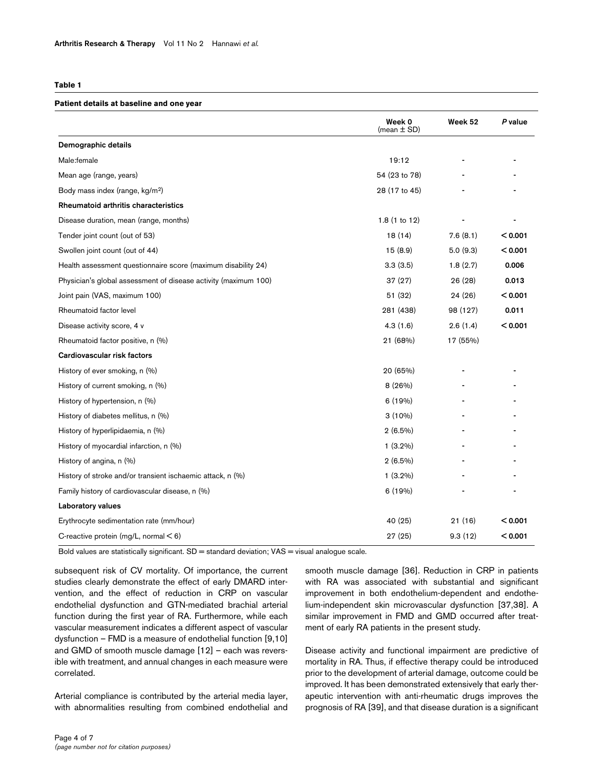#### <span id="page-3-0"></span>**Table 1**

#### **Patient details at baseline and one year**

|                                                                 | Week 0<br>(mean $\pm$ SD) | Week 52  | P value |
|-----------------------------------------------------------------|---------------------------|----------|---------|
| Demographic details                                             |                           |          |         |
| Male:female                                                     | 19:12                     |          |         |
| Mean age (range, years)                                         | 54 (23 to 78)             |          |         |
| Body mass index (range, kg/m <sup>2</sup> )                     | 28 (17 to 45)             |          |         |
| Rheumatoid arthritis characteristics                            |                           |          |         |
| Disease duration, mean (range, months)                          | 1.8(1 to 12)              |          |         |
| Tender joint count (out of 53)                                  | 18(14)                    | 7.6(8.1) | < 0.001 |
| Swollen joint count (out of 44)                                 | 15(8.9)                   | 5.0(9.3) | < 0.001 |
| Health assessment questionnaire score (maximum disability 24)   | 3.3(3.5)                  | 1.8(2.7) | 0.006   |
| Physician's global assessment of disease activity (maximum 100) | 37(27)                    | 26(28)   | 0.013   |
| Joint pain (VAS, maximum 100)                                   | 51 (32)                   | 24 (26)  | < 0.001 |
| Rheumatoid factor level                                         | 281 (438)                 | 98 (127) | 0.011   |
| Disease activity score, 4 v                                     | 4.3(1.6)                  | 2.6(1.4) | < 0.001 |
| Rheumatoid factor positive, n (%)                               | 21 (68%)                  | 17 (55%) |         |
| Cardiovascular risk factors                                     |                           |          |         |
| History of ever smoking, n (%)                                  | 20 (65%)                  |          |         |
| History of current smoking, n (%)                               | 8 (26%)                   |          |         |
| History of hypertension, n (%)                                  | 6(19%)                    |          |         |
| History of diabetes mellitus, n (%)                             | $3(10\%)$                 |          |         |
| History of hyperlipidaemia, n (%)                               | $2(6.5\%)$                |          |         |
| History of myocardial infarction, n (%)                         | $1(3.2\%)$                |          |         |
| History of angina, n (%)                                        | $2(6.5\%)$                |          |         |
| History of stroke and/or transient ischaemic attack, n (%)      | $1(3.2\%)$                |          |         |
| Family history of cardiovascular disease, n (%)                 | 6(19%)                    |          |         |
| Laboratory values                                               |                           |          |         |
| Erythrocyte sedimentation rate (mm/hour)                        | 40 (25)                   | 21(16)   | < 0.001 |
| C-reactive protein (mg/L, normal $<$ 6)                         | 27 (25)                   | 9.3(12)  | < 0.001 |

Bold values are statistically significant. SD = standard deviation; VAS = visual analogue scale.

subsequent risk of CV mortality. Of importance, the current studies clearly demonstrate the effect of early DMARD intervention, and the effect of reduction in CRP on vascular endothelial dysfunction and GTN-mediated brachial arterial function during the first year of RA. Furthermore, while each vascular measurement indicates a different aspect of vascular dysfunction – FMD is a measure of endothelial function [9,10] and GMD of smooth muscle damage [12] – each was reversible with treatment, and annual changes in each measure were correlated.

Arterial compliance is contributed by the arterial media layer, with abnormalities resulting from combined endothelial and smooth muscle damage [36]. Reduction in CRP in patients with RA was associated with substantial and significant improvement in both endothelium-dependent and endothelium-independent skin microvascular dysfunction [37,38]. A similar improvement in FMD and GMD occurred after treatment of early RA patients in the present study.

Disease activity and functional impairment are predictive of mortality in RA. Thus, if effective therapy could be introduced prior to the development of arterial damage, outcome could be improved. It has been demonstrated extensively that early therapeutic intervention with anti-rheumatic drugs improves the prognosis of RA [39], and that disease duration is a significant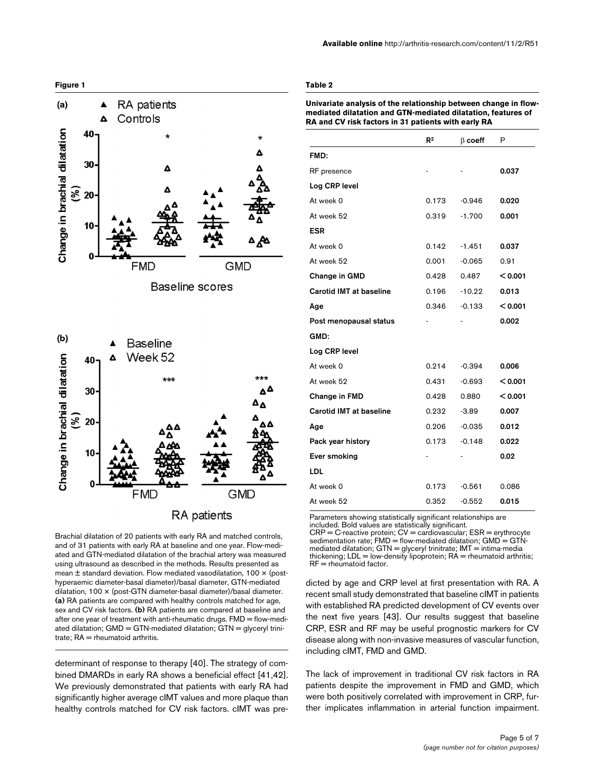

**Available online** http://arthritis-research.com/content/11/2/R51

### <span id="page-4-0"></span>**Table 2**

**Univariate analysis of the relationship between change in flowmediated dilatation and GTN-mediated dilatation, features of RA and CV risk factors in 31 patients with early RA**

|                                | $\mathsf{R}^2$ | $\beta$ coeff | Ρ       |
|--------------------------------|----------------|---------------|---------|
| FMD:                           |                |               |         |
| RF presence                    |                |               | 0.037   |
| Log CRP level                  |                |               |         |
| At week 0                      | 0.173          | $-0.946$      | 0.020   |
| At week 52                     | 0.319          | $-1.700$      | 0.001   |
| <b>ESR</b>                     |                |               |         |
| At week 0                      | 0.142          | $-1.451$      | 0.037   |
| At week 52                     | 0.001          | -0.065        | 0.91    |
| Change in GMD                  | 0.428          | 0.487         | < 0.001 |
| <b>Carotid IMT at baseline</b> | 0.196          | $-10.22$      | 0.013   |
| Age                            | 0.346          | $-0.133$      | < 0.001 |
| Post menopausal status         |                |               | 0.002   |
| GMD:                           |                |               |         |
| Log CRP level                  |                |               |         |
| At week 0                      | 0.214          | $-0.394$      | 0.006   |
| At week 52                     | 0.431          | $-0.693$      | < 0.001 |
| Change in FMD                  | 0.428          | 0.880         | < 0.001 |
| Carotid IMT at baseline        | 0.232          | $-3.89$       | 0.007   |
| Age                            | 0.206          | $-0.035$      | 0.012   |
| Pack year history              | 0.173          | $-0.148$      | 0.022   |
| Ever smoking                   |                |               | 0.02    |
| LDL                            |                |               |         |
| At week 0                      | 0.173          | $-0.561$      | 0.086   |
| At week 52                     | 0.352          | $-0.552$      | 0.015   |

Parameters showing statistically significant relationships are included. Bold values are statistically significant. CRP = C-reactive protein; CV = cardiovascular; ESR = erythrocyte sedimentation rate; FMD = flow-mediated dilatation; GMD = GTNmediated dilatation; GTN = glyceryl trinitrate; IMT = intima-media thickening; LDL = low-density lipoprotein; RA = rheumatoid arthritis; RF = rheumatoid factor.

dicted by age and CRP level at first presentation with RA. A recent small study demonstrated that baseline cIMT in patients with established RA predicted development of CV events over the next five years [43]. Our results suggest that baseline CRP, ESR and RF may be useful prognostic markers for CV disease along with non-invasive measures of vascular function, including cIMT, FMD and GMD.

The lack of improvement in traditional CV risk factors in RA patients despite the improvement in FMD and GMD, which were both positively correlated with improvement in CRP, further implicates inflammation in arterial function impairment.

and of 31 patients with early RA at baseline and one year. Flow-mediated and GTN-mediated dilatation of the brachial artery was measured using ultrasound as described in the methods. Results presented as mean ± standard deviation. Flow mediated vasodilatation, 100 × (posthyperaemic diameter-basal diameter)/basal diameter, GTN-mediated dilatation, 100 × (post-GTN diameter-basal diameter)/basal diameter. **(a)** RA patients are compared with healthy controls matched for age, sex and CV risk factors. **(b)** RA patients are compared at baseline and after one year of treatment with anti-rheumatic drugs. FMD = flow-mediated dilatation; GMD = GTN-mediated dilatation; GTN = glyceryl trinitrate;  $RA =$  rheumatoid arthritis.

determinant of response to therapy [40]. The strategy of combined DMARDs in early RA shows a beneficial effect [41,42]. We previously demonstrated that patients with early RA had significantly higher average cIMT values and more plaque than healthy controls matched for CV risk factors. cIMT was pre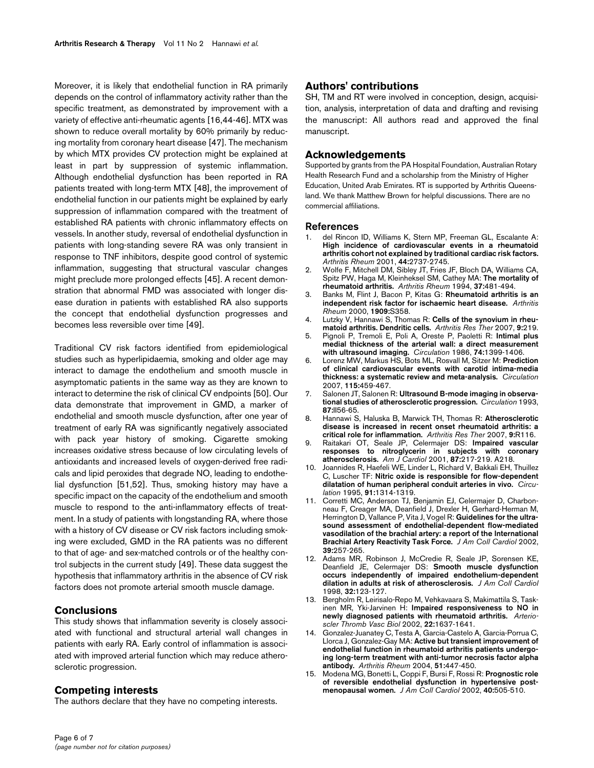Moreover, it is likely that endothelial function in RA primarily depends on the control of inflammatory activity rather than the specific treatment, as demonstrated by improvement with a variety of effective anti-rheumatic agents [16,44-46]. MTX was shown to reduce overall mortality by 60% primarily by reducing mortality from coronary heart disease [47]. The mechanism by which MTX provides CV protection might be explained at least in part by suppression of systemic inflammation. Although endothelial dysfunction has been reported in RA patients treated with long-term MTX [48], the improvement of endothelial function in our patients might be explained by early suppression of inflammation compared with the treatment of established RA patients with chronic inflammatory effects on vessels. In another study, reversal of endothelial dysfunction in patients with long-standing severe RA was only transient in response to TNF inhibitors, despite good control of systemic inflammation, suggesting that structural vascular changes might preclude more prolonged effects [45]. A recent demonstration that abnormal FMD was associated with longer disease duration in patients with established RA also supports the concept that endothelial dysfunction progresses and becomes less reversible over time [49].

Traditional CV risk factors identified from epidemiological studies such as hyperlipidaemia, smoking and older age may interact to damage the endothelium and smooth muscle in asymptomatic patients in the same way as they are known to interact to determine the risk of clinical CV endpoints [50]. Our data demonstrate that improvement in GMD, a marker of endothelial and smooth muscle dysfunction, after one year of treatment of early RA was significantly negatively associated with pack year history of smoking. Cigarette smoking increases oxidative stress because of low circulating levels of antioxidants and increased levels of oxygen-derived free radicals and lipid peroxides that degrade NO, leading to endothelial dysfunction [51,52]. Thus, smoking history may have a specific impact on the capacity of the endothelium and smooth muscle to respond to the anti-inflammatory effects of treatment. In a study of patients with longstanding RA, where those with a history of CV disease or CV risk factors including smoking were excluded, GMD in the RA patients was no different to that of age- and sex-matched controls or of the healthy control subjects in the current study [49]. These data suggest the hypothesis that inflammatory arthritis in the absence of CV risk factors does not promote arterial smooth muscle damage.

### **Conclusions**

This study shows that inflammation severity is closely associated with functional and structural arterial wall changes in patients with early RA. Early control of inflammation is associated with improved arterial function which may reduce atherosclerotic progression.

### **Competing interests**

The authors declare that they have no competing interests.

SH, TM and RT were involved in conception, design, acquisition, analysis, interpretation of data and drafting and revising the manuscript: All authors read and approved the final manuscript.

#### **Acknowledgements**

Supported by grants from the PA Hospital Foundation, Australian Rotary Health Research Fund and a scholarship from the Ministry of Higher Education, United Arab Emirates. RT is supported by Arthritis Queensland. We thank Matthew Brown for helpful discussions. There are no commercial affiliations.

### **References**

- 1. del Rincon ID, Williams K, Stern MP, Freeman GL, Escalante A: **[High incidence of cardiovascular events in a rheumatoid](http://www.ncbi.nlm.nih.gov/entrez/query.fcgi?cmd=Retrieve&db=PubMed&dopt=Abstract&list_uids=11762933) arthritis cohort not explained by traditional cardiac risk factors.** *Arthritis Rheum* 2001, **44:**2737-2745.
- 2. Wolfe F, Mitchell DM, Sibley JT, Fries JF, Bloch DA, Williams CA, Spitz PW, Haga M, Kleinheksel SM, Cathey MA: **[The mortality of](http://www.ncbi.nlm.nih.gov/entrez/query.fcgi?cmd=Retrieve&db=PubMed&dopt=Abstract&list_uids=8147925) [rheumatoid arthritis.](http://www.ncbi.nlm.nih.gov/entrez/query.fcgi?cmd=Retrieve&db=PubMed&dopt=Abstract&list_uids=8147925)** *Arthritis Rheum* 1994, **37:**481-494.
- 3. Banks M, Flint J, Bacon P, Kitas G: **Rheumatoid arthritis is an independent risk factor for ischaemic heart disease.** *Arthritis Rheum* 2000, **1909:**S358.
- 4. Lutzky V, Hannawi S, Thomas R: **[Cells of the synovium in rheu](http://www.ncbi.nlm.nih.gov/entrez/query.fcgi?cmd=Retrieve&db=PubMed&dopt=Abstract&list_uids=17850683)[matoid arthritis. Dendritic cells.](http://www.ncbi.nlm.nih.gov/entrez/query.fcgi?cmd=Retrieve&db=PubMed&dopt=Abstract&list_uids=17850683)** *Arthritis Res Ther* 2007, **9:**219.
- 5. Pignoli P, Tremoli E, Poli A, Oreste P, Paoletti R: **[Intimal plus](http://www.ncbi.nlm.nih.gov/entrez/query.fcgi?cmd=Retrieve&db=PubMed&dopt=Abstract&list_uids=3536154) [medial thickness of the arterial wall: a direct measurement](http://www.ncbi.nlm.nih.gov/entrez/query.fcgi?cmd=Retrieve&db=PubMed&dopt=Abstract&list_uids=3536154) [with ultrasound imaging.](http://www.ncbi.nlm.nih.gov/entrez/query.fcgi?cmd=Retrieve&db=PubMed&dopt=Abstract&list_uids=3536154)** *Circulation* 1986, **74:**1399-1406.
- 6. Lorenz MW, Markus HS, Bots ML, Rosvall M, Sitzer M: **[Prediction](http://www.ncbi.nlm.nih.gov/entrez/query.fcgi?cmd=Retrieve&db=PubMed&dopt=Abstract&list_uids=17242284) [of clinical cardiovascular events with carotid intima-media](http://www.ncbi.nlm.nih.gov/entrez/query.fcgi?cmd=Retrieve&db=PubMed&dopt=Abstract&list_uids=17242284) [thickness: a systematic review and meta-analysis.](http://www.ncbi.nlm.nih.gov/entrez/query.fcgi?cmd=Retrieve&db=PubMed&dopt=Abstract&list_uids=17242284)** *Circulation* 2007, **115:**459-467.
- 7. Salonen JT, Salonen R: **[Ultrasound B-mode imaging in observa](http://www.ncbi.nlm.nih.gov/entrez/query.fcgi?cmd=Retrieve&db=PubMed&dopt=Abstract&list_uids=8443925)[tional studies of atherosclerotic progression.](http://www.ncbi.nlm.nih.gov/entrez/query.fcgi?cmd=Retrieve&db=PubMed&dopt=Abstract&list_uids=8443925)** *Circulation* 1993, **87:**II56-65.
- 8. Hannawi S, Haluska B, Marwick TH, Thomas R: **[Atherosclerotic](http://www.ncbi.nlm.nih.gov/entrez/query.fcgi?cmd=Retrieve&db=PubMed&dopt=Abstract&list_uids=17986352) [disease is increased in recent onset rheumatoid arthritis: a](http://www.ncbi.nlm.nih.gov/entrez/query.fcgi?cmd=Retrieve&db=PubMed&dopt=Abstract&list_uids=17986352) [critical role for inflammation.](http://www.ncbi.nlm.nih.gov/entrez/query.fcgi?cmd=Retrieve&db=PubMed&dopt=Abstract&list_uids=17986352)** *Arthritis Res Ther* 2007, **9:**R116.
- 9. Raitakari OT, Seale JP, Celermajer DS: **[Impaired vascular](http://www.ncbi.nlm.nih.gov/entrez/query.fcgi?cmd=Retrieve&db=PubMed&dopt=Abstract&list_uids=11152844) [responses to nitroglycerin in subjects with coronary](http://www.ncbi.nlm.nih.gov/entrez/query.fcgi?cmd=Retrieve&db=PubMed&dopt=Abstract&list_uids=11152844) [atherosclerosis.](http://www.ncbi.nlm.nih.gov/entrez/query.fcgi?cmd=Retrieve&db=PubMed&dopt=Abstract&list_uids=11152844)** *Am J Cardiol* 2001, **87:**217-219. A218.
- 10. Joannides R, Haefeli WE, Linder L, Richard V, Bakkali EH, Thuillez C, Luscher TF: **[Nitric oxide is responsible for flow-dependent](http://www.ncbi.nlm.nih.gov/entrez/query.fcgi?cmd=Retrieve&db=PubMed&dopt=Abstract&list_uids=7867167) [dilatation of human peripheral conduit arteries in vivo.](http://www.ncbi.nlm.nih.gov/entrez/query.fcgi?cmd=Retrieve&db=PubMed&dopt=Abstract&list_uids=7867167)** *Circulation* 1995, **91:**1314-1319.
- 11. Corretti MC, Anderson TJ, Benjamin EJ, Celermajer D, Charbonneau F, Creager MA, Deanfield J, Drexler H, Gerhard-Herman M, Herrington D, Vallance P, Vita J, Vogel R: **[Guidelines for the ultra](http://www.ncbi.nlm.nih.gov/entrez/query.fcgi?cmd=Retrieve&db=PubMed&dopt=Abstract&list_uids=11788217)[sound assessment of endothelial-dependent flow-mediated](http://www.ncbi.nlm.nih.gov/entrez/query.fcgi?cmd=Retrieve&db=PubMed&dopt=Abstract&list_uids=11788217) vasodilation of the brachial artery: a report of the International [Brachial Artery Reactivity Task Force.](http://www.ncbi.nlm.nih.gov/entrez/query.fcgi?cmd=Retrieve&db=PubMed&dopt=Abstract&list_uids=11788217)** *J Am Coll Cardiol* 2002, **39:**257-265.
- 12. Adams MR, Robinson J, McCredie R, Seale JP, Sorensen KE, Deanfield JE, Celermajer DS: **[Smooth muscle dysfunction](http://www.ncbi.nlm.nih.gov/entrez/query.fcgi?cmd=Retrieve&db=PubMed&dopt=Abstract&list_uids=9669259) [occurs independently of impaired endothelium-dependent](http://www.ncbi.nlm.nih.gov/entrez/query.fcgi?cmd=Retrieve&db=PubMed&dopt=Abstract&list_uids=9669259) [dilation in adults at risk of atherosclerosis.](http://www.ncbi.nlm.nih.gov/entrez/query.fcgi?cmd=Retrieve&db=PubMed&dopt=Abstract&list_uids=9669259)** *J Am Coll Cardiol* 1998, **32:**123-127.
- 13. Bergholm R, Leirisalo-Repo M, Vehkavaara S, Makimattila S, Taskinen MR, Yki-Jarvinen H: **[Impaired responsiveness to NO in](http://www.ncbi.nlm.nih.gov/entrez/query.fcgi?cmd=Retrieve&db=PubMed&dopt=Abstract&list_uids=12377742) [newly diagnosed patients with rheumatoid arthritis.](http://www.ncbi.nlm.nih.gov/entrez/query.fcgi?cmd=Retrieve&db=PubMed&dopt=Abstract&list_uids=12377742)** *Arterioscler Thromb Vasc Biol* 2002, **22:**1637-1641.
- 14. Gonzalez-Juanatey C, Testa A, Garcia-Castelo A, Garcia-Porrua C, Llorca J, Gonzalez-Gay MA: **[Active but transient improvement of](http://www.ncbi.nlm.nih.gov/entrez/query.fcgi?cmd=Retrieve&db=PubMed&dopt=Abstract&list_uids=15188332) [endothelial function in rheumatoid arthritis patients undergo](http://www.ncbi.nlm.nih.gov/entrez/query.fcgi?cmd=Retrieve&db=PubMed&dopt=Abstract&list_uids=15188332)ing long-term treatment with anti-tumor necrosis factor alpha [antibody.](http://www.ncbi.nlm.nih.gov/entrez/query.fcgi?cmd=Retrieve&db=PubMed&dopt=Abstract&list_uids=15188332)** *Arthritis Rheum* 2004, **51:**447-450.
- 15. Modena MG, Bonetti L, Coppi F, Bursi F, Rossi R: **[Prognostic role](http://www.ncbi.nlm.nih.gov/entrez/query.fcgi?cmd=Retrieve&db=PubMed&dopt=Abstract&list_uids=12142118) [of reversible endothelial dysfunction in hypertensive post](http://www.ncbi.nlm.nih.gov/entrez/query.fcgi?cmd=Retrieve&db=PubMed&dopt=Abstract&list_uids=12142118)[menopausal women.](http://www.ncbi.nlm.nih.gov/entrez/query.fcgi?cmd=Retrieve&db=PubMed&dopt=Abstract&list_uids=12142118)** *J Am Coll Cardiol* 2002, **40:**505-510.